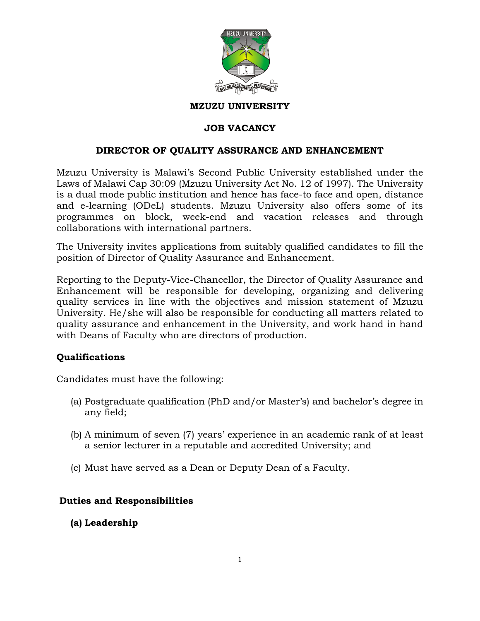

#### **MZUZU UNIVERSITY**

#### **JOB VACANCY**

#### **DIRECTOR OF QUALITY ASSURANCE AND ENHANCEMENT**

Mzuzu University is Malawi's Second Public University established under the Laws of Malawi Cap 30:09 (Mzuzu University Act No. 12 of 1997). The University is a dual mode public institution and hence has face-to face and open, distance and e-learning (ODeL) students. Mzuzu University also offers some of its programmes on block, week-end and vacation releases and through collaborations with international partners.

The University invites applications from suitably qualified candidates to fill the position of Director of Quality Assurance and Enhancement.

Reporting to the Deputy-Vice-Chancellor, the Director of Quality Assurance and Enhancement will be responsible for developing, organizing and delivering quality services in line with the objectives and mission statement of Mzuzu University. He/she will also be responsible for conducting all matters related to quality assurance and enhancement in the University, and work hand in hand with Deans of Faculty who are directors of production.

#### **Qualifications**

Candidates must have the following:

- (a) Postgraduate qualification (PhD and/or Master's) and bachelor's degree in any field;
- (b) A minimum of seven (7) years' experience in an academic rank of at least a senior lecturer in a reputable and accredited University; and
- (c) Must have served as a Dean or Deputy Dean of a Faculty.

### **Duties and Responsibilities**

**(a) Leadership**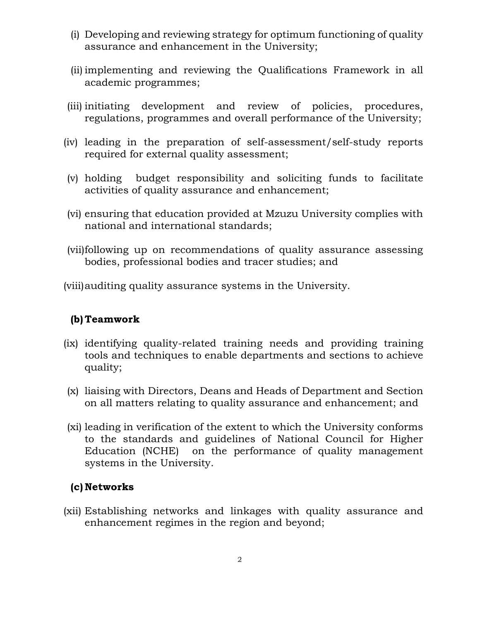- (i) Developing and reviewing strategy for optimum functioning of quality assurance and enhancement in the University;
- (ii) implementing and reviewing the Qualifications Framework in all academic programmes;
- (iii) initiating development and review of policies, procedures, regulations, programmes and overall performance of the University;
- (iv) leading in the preparation of self-assessment/self-study reports required for external quality assessment;
- (v) holding budget responsibility and soliciting funds to facilitate activities of quality assurance and enhancement;
- (vi) ensuring that education provided at Mzuzu University complies with national and international standards;
- (vii)following up on recommendations of quality assurance assessing bodies, professional bodies and tracer studies; and
- (viii)auditing quality assurance systems in the University.

## **(b) Teamwork**

- (ix) identifying quality-related training needs and providing training tools and techniques to enable departments and sections to achieve quality;
- (x) liaising with Directors, Deans and Heads of Department and Section on all matters relating to quality assurance and enhancement; and
- (xi) leading in verification of the extent to which the University conforms to the standards and guidelines of National Council for Higher Education (NCHE) on the performance of quality management systems in the University.

## **(c) Networks**

(xii) Establishing networks and linkages with quality assurance and enhancement regimes in the region and beyond;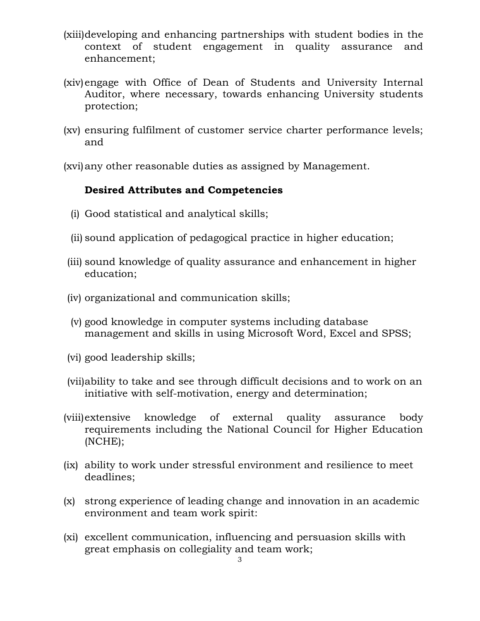- (xiii)developing and enhancing partnerships with student bodies in the context of student engagement in quality assurance and enhancement;
- (xiv)engage with Office of Dean of Students and University Internal Auditor, where necessary, towards enhancing University students protection;
- (xv) ensuring fulfilment of customer service charter performance levels; and

(xvi)any other reasonable duties as assigned by Management.

### **Desired Attributes and Competencies**

- (i) Good statistical and analytical skills;
- (ii) sound application of pedagogical practice in higher education;
- (iii) sound knowledge of quality assurance and enhancement in higher education;
- (iv) organizational and communication skills;
- (v) good knowledge in computer systems including database management and skills in using Microsoft Word, Excel and SPSS;
- (vi) good leadership skills;
- (vii)ability to take and see through difficult decisions and to work on an initiative with self-motivation, energy and determination;
- (viii)extensive knowledge of external quality assurance body requirements including the National Council for Higher Education (NCHE);
- (ix) ability to work under stressful environment and resilience to meet deadlines;
- (x) strong experience of leading change and innovation in an academic environment and team work spirit:
- (xi) excellent communication, influencing and persuasion skills with great emphasis on collegiality and team work;